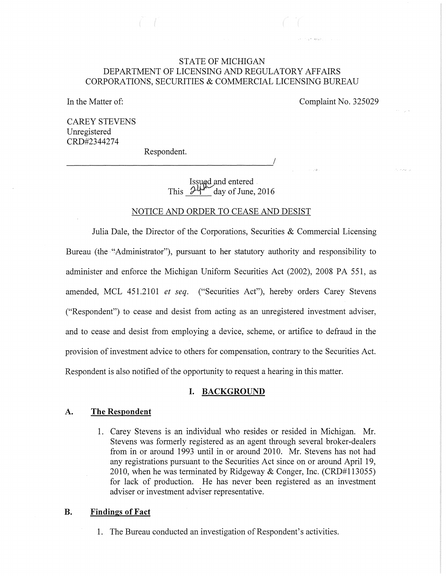# STATE OF MICHIGAN DEPARTMENT OF LICENSING AND REGULATORY AFFAIRS CORPORATIONS, SECURITIES & COMMERCIAL LICENSING BUREAU

In the Matter of:

Complaint No. 325029

mount depart

CAREY STEVENS Unregistered CRD#2344274

Respondent.

--------------------------------------~/

Issued and entered . This  $\frac{\partial \Psi^{\mu}}{\partial \phi}$  day of June, 2016

# NOTICE AND ORDER TO CEASE AND DESIST

Julia Dale, the Director of the Corporations, Securities & Commercial Licensing Bureau (the "Administrator"), pursuant to her statutory authority and responsibility to administer and enforce the Michigan Uniform Securities Act (2002), 2008 PA 551, as amended, MCL 451.2101 *et seq.* ("Securities Act"), hereby orders Carey Stevens ("Respondent") to cease and desist from acting as an unregistered investment adviser, and to cease and desist from employing a device, scheme, or artifice to defraud in the provision of investment advice to others for compensation, contrary to the Securities Act. Respondent is also notified of the opportunity to request a hearing. in this matter.

# **I. BACKGROUND**

# **A. The Respondent**

1. Carey Stevens is an individual who resides or resided in Michigan. Mr. Stevens was formerly registered as an agent through several broker-dealers from in or around 1993 until in or around 2010. Mr. Stevens has not had any registrations pursuant to the Securities Act since on or around April19, 2010, when he was terminated by Ridgeway & Conger, Inc. (CRD#113055) for lack of production. He has never been registered as an investment adviser or investment adviser representative.

### **B. Findings of Fact**

1. The Bureau conducted an investigation of Respondent's activities.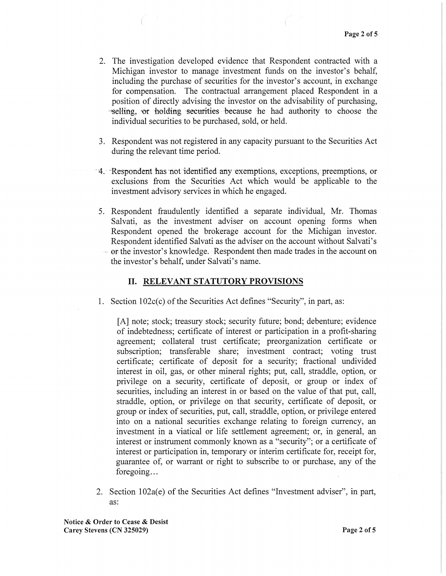- 2. The investigation developed evidence that Respondent contracted with a Michigan investor to manage investment funds on the investor's behalf, including the purchase of securities for the investor's account, in exchange for compensation. The contractual arrangement placed Respondent in a position of directly advising the investor on the advisability of purchasing, "Selling, 'Or holding securities because he had authority to choose the individual securities to be purchased, sold, or held.
- 3. Respondent was not registered in any capacity pursuant to the Securities Act during the relevant time period.
- ·4.· ·Respondent has·not·identified·any exemptions, exceptions,·preemptions, or exclusions from the Securities Act which would be applicable to the investment advisory services in which he engaged.
- 5. Respondent fraudulently identified a separate individual, Mr. Thomas Salvati, as the investment adviser on account opening forms when Respondent opened the brokerage account for the Michigan investor. Respondent identified Salvati as the adviser on the account without Salvati's , erthe investor's knowledge. Respondentthen made trades in the account on the investor's behalf, under Salvati's name.

#### **II. RELEVANT STATUTORY PROVISIONS**

1. Section  $102c(c)$  of the Securities Act defines "Security", in part, as:

[A] note; stock; treasury stock; security future; bond; debenture; evidence of indebtedness; certificate of interest or participation in a profit-sharing agreement; collateral trust certificate; preorganization certificate or subscription; transferable share; investment contract; voting trust certificate; certificate of deposit for a security; fractional undivided interest in oil, gas, or other mineral rights; put, call, straddle, option, or privilege on a security, certificate of deposit, or group or index of securities, including an interest in or based on the value of that put, call, straddle, option, or privilege on that security, certificate of deposit, or group or index of securities, put, call, straddle, option, or privilege entered into on a national securities exchange relating to foreign currency, an investment in a viatical or life settlement agreement; or, in general, an interest or instrument commonly known as a "security"; or a certificate of interest or participation in, temporary or interim certificate for, receipt for, guarantee of, or warrant or right to subscribe to or purchase, any of the foregoing...

2. Section 102a(e) of the Securities Act defines "Investment adviser", in part, as:

Notice & Order to Cease & Desist Carey Stevens (CN 325029) Page 2 of 5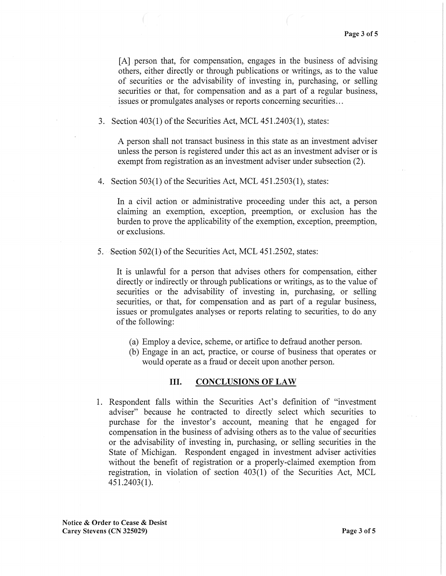[A] person that, for compensation, engages in the business of advising others, either directly or through publications or writings, as to the value of securities or the advisability of investing in, purchasing, or selling securities or that, for compensation and as a part of a regular business, issues or promulgates analyses or reports concerning securities ...

3. Section 403(1) of the Securities Act, MCL 451.2403(1), states:

A person shall not transact business in this state as an investment adviser unless the person is registered under this act as an investment adviser or is exempt from registration as an investment adviser under subsection (2).

4. Section 503(1) of the Securities Act, MCL 451.2503(1), states:

In a civil action or administrative proceeding under this act, a person claiming an exemption, exception, preemption, or exclusion has the burden to prove the applicability of the exemption, exception, preemption, or exclusions.

5. Section  $502(1)$  of the Securities Act, MCL 451.2502, states:

It is unlawful for a person that advises others for compensation, either directly or indirectly or through publications or writings, as to the value of securities or the advisability of investing in, purchasing, or selling securities, or that, for compensation and as part of a regular business, issues or promulgates analyses or reports relating to securities, to do any of the following:

- (a) Employ a device, scheme, or artifice to defraud another person.
- (b) Engage in an act, practice, or course of business that operates or would operate as a fraud or deceit upon another person.

# III. CONCLUSIONS OF LAW

1. Respondent falls within the Securities Act's definition of "investment adviser" because he contracted to directly select which securities to purchase for the investor's account, meaning that he engaged for compensation in the business of advising others as to the value of securities or the advisability of investing in, purchasing, or selling securities in the State of Michigan. Respondent engaged in investment adviser activities without the benefit of registration or a properly-claimed exemption from registration, in violation of section 403(1) of the Securities Act, MCL 451.2403(1).

Notice & Order to Cease & Desist Carey Stevens (CN 325029) Page 3 of 5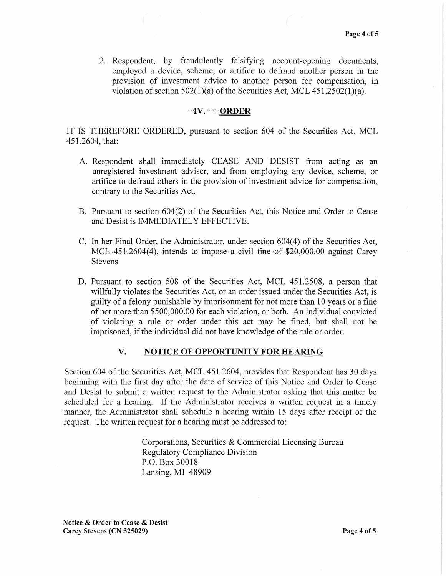2. Respondent, by fraudulently falsifying account-opening documents, employed a device, scheme, or artifice to defraud another person in the provision of investment advice to another person for compensation, in violation of section  $502(1)(a)$  of the Securities Act, MCL  $451.2502(1)(a)$ .

#### $\neg \textbf{W}$ .  $\neg \neg \textbf{ORDER}$

IT IS THEREFORE ORDERED, pursuant to section 604 of the Securities Act, MCL 451.2604, that:

- A. Respondent shall immediately CEASE AND DESIST from acting as an unregistered investment adviser, and from employing any device, scheme, or artifice to defraud others in the provision of investment advice for compensation, contrary to the Securities Act.
- B. Pursuant to section 604(2) of the Securities Act, this Notice and Order to Cease and Desist is IMMEDIATELY EFFECTIVE.
- C. In her Final Order, the Administrator, under section 604(4) of the Securities Act, MCL  $451.2604(4)$ , intends to impose a civil fine of \$20,000.00 against Carey Stevens
- D. Pursuant to section 508 of the Securities Act, MCL 451.2508, a person that willfully violates the Securities Act, or an order issued under the Securities Act, is guilty of a felony punishable by imprisonment for not more than 10 years or a fine of not more than \$500,000.00 for each violation, or both. An individual convicted of violating a rule or order under this act may be fined, but shall not be imprisoned, if the individual did not have knowledge of the rule or order.

### V. NOTICE OF OPPORTUNITY FOR HEARING

Section 604 of the Securities Act, MCL 451.2604, provides that Respondent has 30 days beginning with the first day after the date of service of this Notice and Order to Cease and Desist to submit a written request to the Administrator asking that this matter be scheduled for a hearing. If the Administrator receives a written request in a timely manner, the Administrator shall schedule a hearing within 15 days after receipt of the request. The written request for a hearing must be addressed to:

> Corporations, Securities & Commercial Licensing Bureau Regulatory Compliance Division P.O. Box 30018 Lansing, MI 48909

Notice & Order to Cease & Desist Carey Stevens (CN 325029) **Page 4 of 5**